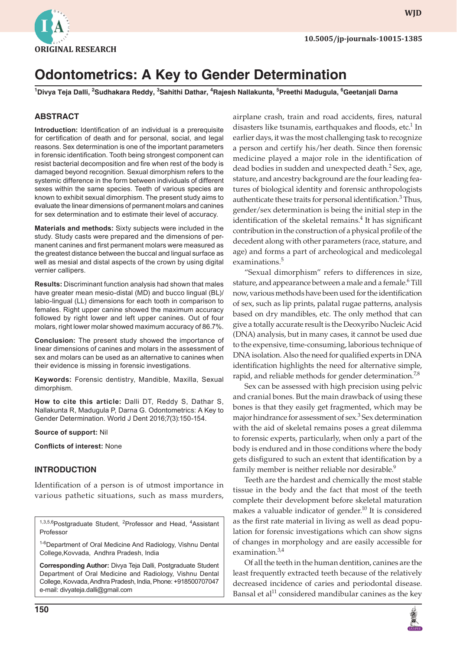

**wjd**

# **Odontometrics: A Key to Gender Determination**

<sup>1</sup>Divya Teja Dalli, <sup>2</sup>Sudhakara Reddy, <sup>3</sup>Sahithi Dathar, <sup>4</sup>Rajesh Nallakunta, <sup>5</sup>Preethi Madugula, <sup>6</sup>Geetanjali Darna

#### **ABSTRACT**

**Introduction:** Identification of an individual is a prerequisite for certification of death and for personal, social, and legal reasons. Sex determination is one of the important parameters in forensic identification. Tooth being strongest component can resist bacterial decomposition and fire when rest of the body is damaged beyond recognition. Sexual dimorphism refers to the systemic difference in the form between individuals of different sexes within the same species. Teeth of various species are known to exhibit sexual dimorphism. The present study aims to evaluate the linear dimensions of permanent molars and canines for sex determination and to estimate their level of accuracy.

**Materials and methods:** Sixty subjects were included in the study. Study casts were prepared and the dimensions of permanent canines and first permanent molars were measured as the greatest distance between the buccal and lingual surface as well as mesial and distal aspects of the crown by using digital vernier callipers.

**Results:** Discriminant function analysis had shown that males have greater mean mesio-distal (MD) and bucco lingual (BL)/ labio-lingual (LL) dimensions for each tooth in comparison to females. Right upper canine showed the maximum accuracy followed by right lower and left upper canines. Out of four molars, right lower molar showed maximum accuracy of 86.7%.

**Conclusion:** The present study showed the importance of linear dimensions of canines and molars in the assessment of sex and molars can be used as an alternative to canines when their evidence is missing in forensic investigations.

**Keywords:** Forensic dentistry, Mandible, Maxilla, Sexual dimorphism.

**How to cite this article:** Dalli DT, Reddy S, Dathar S, Nallakunta R, Madugula P, Darna G. Odontometrics: A Key to Gender Determination. World J Dent 2016;7(3):150-154.

**Source of support:** Nil

**Conflicts of interest:** None

#### **INTRODUCTION**

Identification of a person is of utmost importance in various pathetic situations, such as mass murders,

<sup>1,3,5,6</sup>Postgraduate Student, <sup>2</sup>Professor and Head, <sup>4</sup>Assistant Professor

<sup>1-6</sup>Department of Oral Medicine And Radiology, Vishnu Dental College,Kovvada, Andhra Pradesh, India

**Corresponding Author:** Divya Teja Dalli, Postgraduate Student Department of Oral Medicine and Radiology, Vishnu Dental College, Kovvada, Andhra Pradesh, India, Phone: +918500707047 e-mail: divyateja.dalli@gmail.com

airplane crash, train and road accidents, fires, natural disasters like tsunamis, earthquakes and floods, etc. $^1$  In earlier days, it was the most challenging task to recognize a person and certify his/her death. Since then forensic medicine played a major role in the identification of dead bodies in sudden and unexpected death.<sup>2</sup> Sex, age, stature, and ancestry background are the four leading features of biological identity and forensic anthropologists authenticate these traits for personal identification.<sup>3</sup> Thus, gender/sex determination is being the initial step in the identification of the skeletal remains.<sup>4</sup> It has significant contribution in the construction of a physical profile of the decedent along with other parameters (race, stature, and age) and forms a part of archeological and medicolegal examinations.<sup>5</sup>

"Sexual dimorphism" refers to differences in size, stature, and appearance between a male and a female.<sup>6</sup> Till now, various methods have been used for the identification of sex, such as lip prints, palatal rugae patterns, analysis based on dry mandibles, etc. The only method that can give a totally accurate result is the Deoxyribo Nucleic Acid (DNA) analysis, but in many cases, it cannot be used due to the expensive, time-consuming, laborious technique of DNA isolation. Also the need for qualified experts in DNA identification highlights the need for alternative simple, rapid, and reliable methods for gender determination.<sup>7,8</sup>

Sex can be assessed with high precision using pelvic and cranial bones. But the main drawback of using these bones is that they easily get fragmented, which may be major hindrance for assessment of sex.<sup>3</sup> Sex determination with the aid of skeletal remains poses a great dilemma to forensic experts, particularly, when only a part of the body is endured and in those conditions where the body gets disfigured to such an extent that identification by a family member is neither reliable nor desirable.<sup>9</sup>

Teeth are the hardest and chemically the most stable tissue in the body and the fact that most of the teeth complete their development before skeletal maturation makes a valuable indicator of gender.<sup>10</sup> It is considered as the first rate material in living as well as dead population for forensic investigations which can show signs of changes in morphology and are easily accessible for examination. $3,4$ 

Of all the teeth in the human dentition, canines are the least frequently extracted teeth because of the relatively decreased incidence of caries and periodontal disease. Bansal et al<sup>11</sup> considered mandibular canines as the key

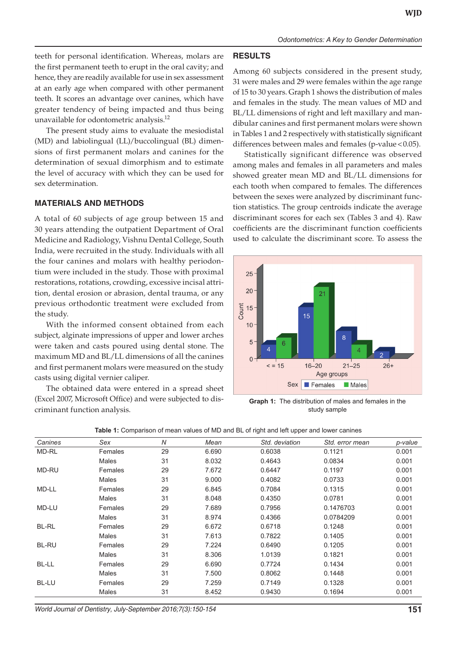teeth for personal identification. Whereas, molars are the first permanent teeth to erupt in the oral cavity; and hence, they are readily available for use in sex assessment at an early age when compared with other permanent teeth. It scores an advantage over canines, which have greater tendency of being impacted and thus being unavailable for odontometric analysis.<sup>12</sup>

The present study aims to evaluate the mesiodistal (MD) and labiolingual (LL)/buccolingual (BL) dimensions of first permanent molars and canines for the determination of sexual dimorphism and to estimate the level of accuracy with which they can be used for sex determination.

#### **MATERIALS AND METHODS**

A total of 60 subjects of age group between 15 and 30 years attending the outpatient Department of Oral Medicine and Radiology, Vishnu Dental College, South India, were recruited in the study. Individuals with all the four canines and molars with healthy periodontium were included in the study. Those with proximal restorations, rotations, crowding, excessive incisal attrition, dental erosion or abrasion, dental trauma, or any previous orthodontic treatment were excluded from the study.

With the informed consent obtained from each subject, alginate impressions of upper and lower arches were taken and casts poured using dental stone. The maximum MD and BL/LL dimensions of all the canines and first permanent molars were measured on the study casts using digital vernier caliper.

The obtained data were entered in a spread sheet (Excel 2007, Microsoft Office) and were subjected to discriminant function analysis.

### **RESULTS**

Among 60 subjects considered in the present study, 31 were males and 29 were females within the age range of 15 to 30 years. Graph 1 shows the distribution of males and females in the study. The mean values of MD and BL/LL dimensions of right and left maxillary and mandibular canines and first permanent molars were shown in Tables 1 and 2 respectively with statistically significant differences between males and females (p-value <  $0.05$ ).

Statistically significant difference was observed among males and females in all parameters and males showed greater mean MD and BL/LL dimensions for each tooth when compared to females. The differences between the sexes were analyzed by discriminant function statistics. The group centroids indicate the average discriminant scores for each sex (Tables 3 and 4). Raw coefficients are the discriminant function coefficients used to calculate the discriminant score. To assess the



**Graph 1:** The distribution of males and females in the study sample

| Canines      | Sex          | $\overline{N}$ | Mean  | Std. deviation | Std. error mean | p-value |
|--------------|--------------|----------------|-------|----------------|-----------------|---------|
| MD-RL        | Females      | 29             | 6.690 | 0.6038         | 0.1121          | 0.001   |
|              | <b>Males</b> | 31             | 8.032 | 0.4643         | 0.0834          | 0.001   |
| <b>MD-RU</b> | Females      | 29             | 7.672 | 0.6447         | 0.1197          | 0.001   |
|              | <b>Males</b> | 31             | 9.000 | 0.4082         | 0.0733          | 0.001   |
| MD-LL        | Females      | 29             | 6.845 | 0.7084         | 0.1315          | 0.001   |
|              | <b>Males</b> | 31             | 8.048 | 0.4350         | 0.0781          | 0.001   |
| MD-LU        | Females      | 29             | 7.689 | 0.7956         | 0.1476703       | 0.001   |
|              | Males        | 31             | 8.974 | 0.4366         | 0.0784209       | 0.001   |
| <b>BL-RL</b> | Females      | 29             | 6.672 | 0.6718         | 0.1248          | 0.001   |
|              | <b>Males</b> | 31             | 7.613 | 0.7822         | 0.1405          | 0.001   |
| <b>BL-RU</b> | Females      | 29             | 7.224 | 0.6490         | 0.1205          | 0.001   |
|              | <b>Males</b> | 31             | 8.306 | 1.0139         | 0.1821          | 0.001   |
| BL-LL        | Females      | 29             | 6.690 | 0.7724         | 0.1434          | 0.001   |
|              | Males        | 31             | 7.500 | 0.8062         | 0.1448          | 0.001   |
| BL-LU        | Females      | 29             | 7.259 | 0.7149         | 0.1328          | 0.001   |
|              | <b>Males</b> | 31             | 8.452 | 0.9430         | 0.1694          | 0.001   |

**Table 1:** Comparison of mean values of MD and BL of right and left upper and lower canines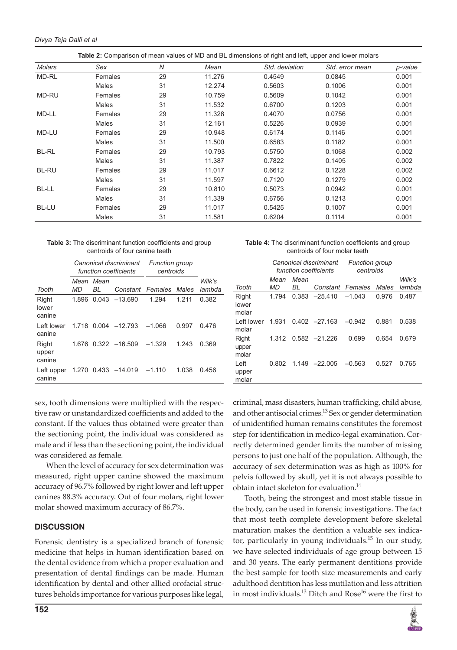| Table 2: Comparison of mean values of MD and BL dimensions of right and left, upper and lower molars |              |                |        |                |                 |         |  |
|------------------------------------------------------------------------------------------------------|--------------|----------------|--------|----------------|-----------------|---------|--|
| <b>Molars</b>                                                                                        | Sex          | $\overline{N}$ | Mean   | Std. deviation | Std. error mean | p-value |  |
| MD-RL                                                                                                | Females      | 29             | 11.276 | 0.4549         | 0.0845          | 0.001   |  |
|                                                                                                      | Males        | 31             | 12.274 | 0.5603         | 0.1006          | 0.001   |  |
| MD-RU                                                                                                | Females      | 29             | 10.759 | 0.5609         | 0.1042          | 0.001   |  |
|                                                                                                      | <b>Males</b> | 31             | 11.532 | 0.6700         | 0.1203          | 0.001   |  |
| MD-LL                                                                                                | Females      | 29             | 11.328 | 0.4070         | 0.0756          | 0.001   |  |
|                                                                                                      | <b>Males</b> | 31             | 12.161 | 0.5226         | 0.0939          | 0.001   |  |
| MD-LU                                                                                                | Females      | 29             | 10.948 | 0.6174         | 0.1146          | 0.001   |  |
|                                                                                                      | Males        | 31             | 11.500 | 0.6583         | 0.1182          | 0.001   |  |
| <b>BL-RL</b>                                                                                         | Females      | 29             | 10.793 | 0.5750         | 0.1068          | 0.002   |  |
|                                                                                                      | <b>Males</b> | 31             | 11.387 | 0.7822         | 0.1405          | 0.002   |  |
| BL-RU                                                                                                | Females      | 29             | 11.017 | 0.6612         | 0.1228          | 0.002   |  |
|                                                                                                      | <b>Males</b> | 31             | 11.597 | 0.7120         | 0.1279          | 0.002   |  |
| BL-LL                                                                                                | Females      | 29             | 10.810 | 0.5073         | 0.0942          | 0.001   |  |
|                                                                                                      | Males        | 31             | 11.339 | 0.6756         | 0.1213          | 0.001   |  |
| BL-LU                                                                                                | Females      | 29             | 11.017 | 0.5425         | 0.1007          | 0.001   |  |
|                                                                                                      | Males        | 31             | 11.581 | 0.6204         | 0.1114          | 0.001   |  |

| <b>Table 3:</b> The discriminant function coefficients and group |
|------------------------------------------------------------------|
| centroids of four canine teeth                                   |

|                          | Canonical discriminant<br>function coefficients |            |                     | <b>Function group</b><br>centroids |       |                  |
|--------------------------|-------------------------------------------------|------------|---------------------|------------------------------------|-------|------------------|
| Tooth                    | Mean<br>MD                                      | Mean<br>BL |                     | Constant Females                   | Males | Wilk's<br>lambda |
| Right<br>lower<br>canine | 1.896                                           |            | $0.043 - 13.690$    | 1.294                              | 1.211 | 0.382            |
| Left lower<br>canine     | 1.718                                           |            | $0.004 -12.793$     | $-1.066$                           | 0.997 | 0.476            |
| Right<br>upper<br>canine | 1.676                                           |            | $0.322 - 16.509$    | $-1.329$                           | 1.243 | 0.369            |
| Left upper<br>canine     |                                                 |            | 1.270 0.433 -14.019 | $-1.110$                           | 1.038 | 0.456            |

**Table 4:** The discriminant function coefficients and group centroids of four molar teeth

|                         | Canonical discriminant<br>function coefficients |      |                  | <b>Function group</b><br>centroids |       |        |
|-------------------------|-------------------------------------------------|------|------------------|------------------------------------|-------|--------|
|                         | Mean                                            | Mean |                  |                                    |       | Wilk's |
| Tooth                   | MD                                              | BL   | Constant Females |                                    | Males | lambda |
| Right<br>lower<br>molar | 1.794                                           |      | $0.383 -25.410$  | $-1.043$                           | 0.976 | 0.487  |
| Left lower<br>molar     | 1.931                                           |      | $0.402 -27.163$  | $-0.942$                           | 0.881 | 0.538  |
| Right<br>upper<br>molar | 1.312                                           |      | $0.582 -21.226$  | 0.699                              | 0.654 | 0.679  |
| Left<br>upper<br>molar  | 0.802                                           |      | $1.149 -22.005$  | $-0.563$                           | 0.527 | 0.765  |

sex, tooth dimensions were multiplied with the respective raw or unstandardized coefficients and added to the constant. If the values thus obtained were greater than the sectioning point, the individual was considered as male and if less than the sectioning point, the individual was considered as female.

When the level of accuracy for sex determination was measured, right upper canine showed the maximum accuracy of 96.7% followed by right lower and left upper canines 88.3% accuracy. Out of four molars, right lower molar showed maximum accuracy of 86.7%.

#### **DISCUSSION**

Forensic dentistry is a specialized branch of forensic medicine that helps in human identification based on the dental evidence from which a proper evaluation and presentation of dental findings can be made. Human identification by dental and other allied orofacial structures beholds importance for various purposes like legal,

criminal, mass disasters, human trafficking, child abuse, and other antisocial crimes.<sup>13</sup> Sex or gender determination of unidentified human remains constitutes the foremost step for identification in medico-legal examination. Correctly determined gender limits the number of missing persons to just one half of the population. Although, the accuracy of sex determination was as high as 100% for pelvis followed by skull, yet it is not always possible to obtain intact skeleton for evaluation.<sup>14</sup>

Tooth, being the strongest and most stable tissue in the body, can be used in forensic investigations. The fact that most teeth complete development before skeletal maturation makes the dentition a valuable sex indicator, particularly in young individuals.<sup>15</sup> In our study, we have selected individuals of age group between 15 and 30 years. The early permanent dentitions provide the best sample for tooth size measurements and early adulthood dentition has less mutilation and less attrition in most individuals.<sup>13</sup> Ditch and Rose<sup>16</sup> were the first to

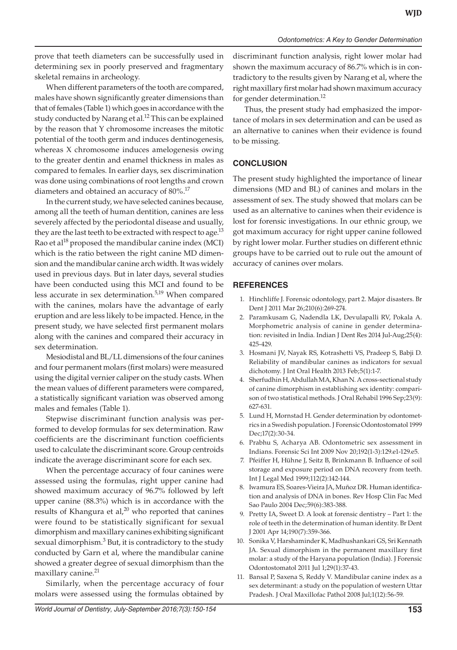prove that teeth diameters can be successfully used in determining sex in poorly preserved and fragmentary skeletal remains in archeology.

When different parameters of the tooth are compared, males have shown significantly greater dimensions than that of females (Table 1) which goes in accordance with the study conducted by Narang et al.<sup>12</sup> This can be explained by the reason that Y chromosome increases the mitotic potential of the tooth germ and induces dentinogenesis, whereas X chromosome induces amelogenesis owing to the greater dentin and enamel thickness in males as compared to females. In earlier days, sex discrimination was done using combinations of root lengths and crown diameters and obtained an accuracy of 80%.<sup>17</sup>

In the current study, we have selected canines because, among all the teeth of human dentition, canines are less severely affected by the periodontal disease and usually, they are the last teeth to be extracted with respect to age. $^{13}$ Rao et al $^{18}$  proposed the mandibular canine index (MCI) which is the ratio between the right canine MD dimension and the mandibular canine arch width. It was widely used in previous days. But in later days, several studies have been conducted using this MCI and found to be less accurate in sex determination.5,19 When compared with the canines, molars have the advantage of early eruption and are less likely to be impacted. Hence, in the present study, we have selected first permanent molars along with the canines and compared their accuracy in sex determination.

Mesiodistal and BL/LL dimensions of the four canines and four permanent molars (first molars) were measured using the digital vernier caliper on the study casts. When the mean values of different parameters were compared, a statistically significant variation was observed among males and females (Table 1).

Stepwise discriminant function analysis was performed to develop formulas for sex determination. Raw coefficients are the discriminant function coefficients used to calculate the discriminant score. Group centroids indicate the average discriminant score for each sex.

When the percentage accuracy of four canines were assessed using the formulas, right upper canine had showed maximum accuracy of 96.7% followed by left upper canine (88.3%) which is in accordance with the results of Khangura et al, $^{20}$  who reported that canines were found to be statistically significant for sexual dimorphism and maxillary canines exhibiting significant sexual dimorphism. $3$  But, it is contradictory to the study conducted by Garn et al, where the mandibular canine showed a greater degree of sexual dimorphism than the maxillary canine.<sup>21</sup>

Similarly, when the percentage accuracy of four molars were assessed using the formulas obtained by discriminant function analysis, right lower molar had shown the maximum accuracy of 86.7% which is in contradictory to the results given by Narang et al, where the right maxillary first molar had shown maximum accuracy for gender determination.<sup>12</sup>

Thus, the present study had emphasized the importance of molars in sex determination and can be used as an alternative to canines when their evidence is found to be missing.

# **CONCLUSION**

The present study highlighted the importance of linear dimensions (MD and BL) of canines and molars in the assessment of sex. The study showed that molars can be used as an alternative to canines when their evidence is lost for forensic investigations. In our ethnic group, we got maximum accuracy for right upper canine followed by right lower molar. Further studies on different ethnic groups have to be carried out to rule out the amount of accuracy of canines over molars.

# **REFERENCES**

- 1. Hinchliffe J. Forensic odontology, part 2. Major disasters. Br Dent J 2011 Mar 26;210(6):269-274.
- 2. Paramkusam G, Nadendla LK, Devulapalli RV, Pokala A. Morphometric analysis of canine in gender determination: revisited in India. Indian J Dent Res 2014 Jul-Aug;25(4): 425-429.
- 3. Hosmani JV, Nayak RS, Kotrashetti VS, Pradeep S, Babji D. Reliability of mandibular canines as indicators for sexual dichotomy. J Int Oral Health 2013 Feb;5(1):1-7.
- 4. Sherfudhin H, Abdullah MA, Khan N. A cross-sectional study of canine dimorphism in establishing sex identity: comparison of two statistical methods. J Oral Rehabil 1996 Sep;23(9): 627-631.
- 5. Lund H, Mornstad H. Gender determination by odontometrics in a Swedish population. J Forensic Odontostomatol 1999 Dec;17(2):30-34.
- 6. Prabhu S, Acharya AB. Odontometric sex assessment in Indians. Forensic Sci Int 2009 Nov 20;192(1-3):129.e1-129.e5.
- 7. Pfeiffer H, Hühne J, Seitz B, Brinkmann B. Influence of soil storage and exposure period on DNA recovery from teeth. Int J Legal Med 1999;112(2):142-144.
- 8. Iwamura ES, Soares-Vieira JA, Muñoz DR. Human identification and analysis of DNA in bones. Rev Hosp Clin Fac Med Sao Paulo 2004 Dec;59(6):383-388.
- 9. Pretty IA, Sweet D. A look at forensic dentistry Part 1: the role of teeth in the determination of human identity. Br Dent J 2001 Apr 14;190(7):359-366.
- 10. Sonika V, Harshaminder K, Madhushankari GS, Sri Kennath JA. Sexual dimorphism in the permanent maxillary first molar: a study of the Haryana population (India). J Forensic Odontostomatol 2011 Jul 1;29(1):37-43.
- 11. Bansal P, Saxena S, Reddy V. Mandibular canine index as a sex determinant: a study on the population of western Uttar Pradesh. J Oral Maxillofac Pathol 2008 Jul;1(12):56-59.